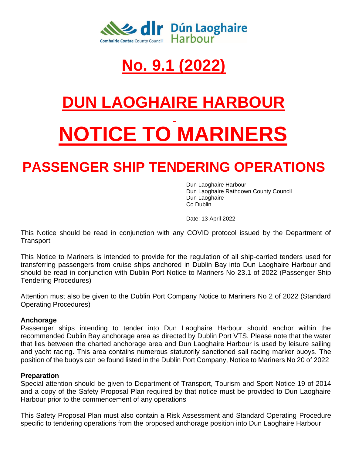

## **No. 9.1 (2022)**

# **DUN LAOGHAIRE HARBOUR NOTICE TO MARINERS**

### **PASSENGER SHIP TENDERING OPERATIONS**

Dun Laoghaire Harbour Dun Laoghaire Rathdown County Council Dun Laoghaire Co Dublin

Date: 13 April 2022

This Notice should be read in conjunction with any COVID protocol issued by the Department of **Transport** 

This Notice to Mariners is intended to provide for the regulation of all ship-carried tenders used for transferring passengers from cruise ships anchored in Dublin Bay into Dun Laoghaire Harbour and should be read in conjunction with Dublin Port Notice to Mariners No 23.1 of 2022 (Passenger Ship Tendering Procedures)

Attention must also be given to the Dublin Port Company Notice to Mariners No 2 of 2022 (Standard Operating Procedures)

#### **Anchorage**

Passenger ships intending to tender into Dun Laoghaire Harbour should anchor within the recommended Dublin Bay anchorage area as directed by Dublin Port VTS. Please note that the water that lies between the charted anchorage area and Dun Laoghaire Harbour is used by leisure sailing and yacht racing. This area contains numerous statutorily sanctioned sail racing marker buoys. The position of the buoys can be found listed in the Dublin Port Company, Notice to Mariners No 20 of 2022

#### **Preparation**

Special attention should be given to Department of Transport, Tourism and Sport Notice 19 of 2014 and a copy of the Safety Proposal Plan required by that notice must be provided to Dun Laoghaire Harbour prior to the commencement of any operations

This Safety Proposal Plan must also contain a Risk Assessment and Standard Operating Procedure specific to tendering operations from the proposed anchorage position into Dun Laoghaire Harbour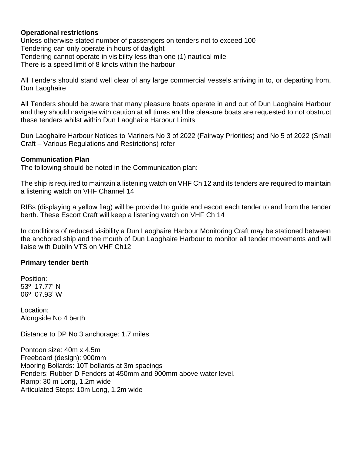#### **Operational restrictions**

Unless otherwise stated number of passengers on tenders not to exceed 100 Tendering can only operate in hours of daylight Tendering cannot operate in visibility less than one (1) nautical mile There is a speed limit of 8 knots within the harbour

All Tenders should stand well clear of any large commercial vessels arriving in to, or departing from, Dun Laoghaire

All Tenders should be aware that many pleasure boats operate in and out of Dun Laoghaire Harbour and they should navigate with caution at all times and the pleasure boats are requested to not obstruct these tenders whilst within Dun Laoghaire Harbour Limits

Dun Laoghaire Harbour Notices to Mariners No 3 of 2022 (Fairway Priorities) and No 5 of 2022 (Small Craft – Various Regulations and Restrictions) refer

#### **Communication Plan**

The following should be noted in the Communication plan:

The ship is required to maintain a listening watch on VHF Ch 12 and its tenders are required to maintain a listening watch on VHF Channel 14

RIBs (displaying a yellow flag) will be provided to guide and escort each tender to and from the tender berth. These Escort Craft will keep a listening watch on VHF Ch 14

In conditions of reduced visibility a Dun Laoghaire Harbour Monitoring Craft may be stationed between the anchored ship and the mouth of Dun Laoghaire Harbour to monitor all tender movements and will liaise with Dublin VTS on VHF Ch12

#### **Primary tender berth**

Position: 53º 17.77' N 06º 07.93' W

Location: Alongside No 4 berth

Distance to DP No 3 anchorage: 1.7 miles

Pontoon size: 40m x 4.5m Freeboard (design): 900mm Mooring Bollards: 10T bollards at 3m spacings Fenders: Rubber D Fenders at 450mm and 900mm above water level. Ramp: 30 m Long, 1.2m wide Articulated Steps: 10m Long, 1.2m wide